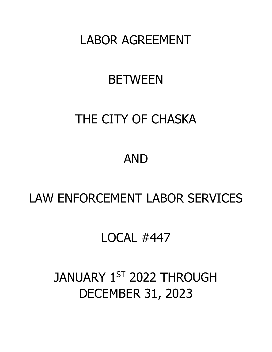LABOR AGREEMENT

## **BETWEEN**

## THE CITY OF CHASKA

## AND

## LAW ENFORCEMENT LABOR SERVICES

## LOCAL #447

# JANUARY 1ST 2022 THROUGH DECEMBER 31, 2023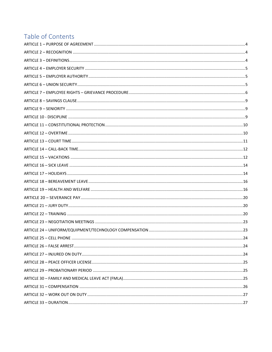## Table of Contents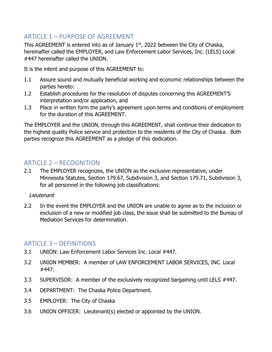## <span id="page-3-0"></span>ARTICLE 1 – PURPOSE OF AGREEMENT

This AGREEMENT is entered into as of January  $1<sup>st</sup>$ , 2022 between the City of Chaska, hereinafter called the EMPLOYER, and Law Enforcement Labor Services, Inc. (LELS) Local #447 hereinafter called the UNION.

It is the intent and purpose of this AGREEMENT to:

- 1.1 Assure sound and mutually beneficial working and economic relationships between the parties hereto:
- 1.2 Establish procedures for the resolution of disputes concerning this AGREEMENT'S interpretation and/or application, and
- 1.3 Place in written form the party's agreement upon terms and conditions of employment for the duration of this AGREEMENT.

The EMPLOYER and the UNION, through this AGREEMENT, shall continue their dedication to the highest quality Police service and protection to the residents of the City of Chaska. Both parties recognize this AGREEMENT as a pledge of this dedication.

## <span id="page-3-1"></span>ARTICLE  $2 -$  RECOGNITION

2.1 The EMPLOYER recognizes, the UNION as the exclusive representative, under Minnesota Statutes, Section 179.67, Subdivision 3, and Section 179.71, Subdivision 3, for all personnel in the following job classifications:

#### Lieutenant

2.2 In the event the EMPLOYER and the UNION are unable to agree as to the inclusion or exclusion of a new or modified job class, the issue shall be submitted to the Bureau of Mediation Services for determination.

#### <span id="page-3-2"></span>ARTICLE 3 – DEFINITIONS

- 3.1 UNION: Law Enforcement Labor Services Inc. Local #447.
- 3.2 UNION MEMBER: A member of LAW ENFORCEMENT LABOR SERVICES, INC. Local #447.
- 3.3 SUPERVISOR: A member of the exclusively recognized bargaining until LELS #447.
- 3.4 DEPARTMENT: The Chaska Police Department.
- 3.5 EMPLOYER: The City of Chaska
- 3.6 UNION OFFICER: Lieutenant(s) elected or appointed by the UNION.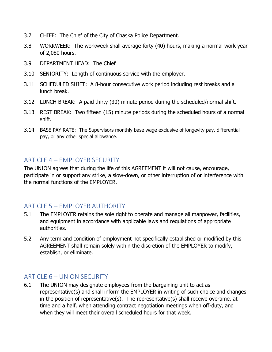- 3.7 CHIEF: The Chief of the City of Chaska Police Department.
- 3.8 WORKWEEK: The workweek shall average forty (40) hours, making a normal work year of 2,080 hours.
- 3.9 DEPARTMENT HEAD: The Chief
- 3.10 SENIORITY: Length of continuous service with the employer.
- 3.11 SCHEDULED SHIFT: A 8-hour consecutive work period including rest breaks and a lunch break.
- 3.12 LUNCH BREAK: A paid thirty (30) minute period during the scheduled/normal shift.
- 3.13 REST BREAK: Two fifteen (15) minute periods during the scheduled hours of a normal shift.
- 3.14 BASE PAY RATE: The Supervisors monthly base wage exclusive of longevity pay, differential pay, or any other special allowance.

#### <span id="page-4-0"></span>ARTICLE 4 – EMPLOYER SECURITY

The UNION agrees that during the life of this AGREEMENT it will not cause, encourage, participate in or support any strike, a slow-down, or other interruption of or interference with the normal functions of the EMPLOYER.

#### <span id="page-4-1"></span>ARTICLE 5 – EMPLOYER AUTHORITY

- 5.1 The EMPLOYER retains the sole right to operate and manage all manpower, facilities, and equipment in accordance with applicable laws and regulations of appropriate authorities.
- 5.2 Any term and condition of employment not specifically established or modified by this AGREEMENT shall remain solely within the discretion of the EMPLOYER to modify, establish, or eliminate.

## <span id="page-4-2"></span>ARTICLE 6 – UNION SECURITY

6.1 The UNION may designate employees from the bargaining unit to act as representative(s) and shall inform the EMPLOYER in writing of such choice and changes in the position of representative(s). The representative(s) shall receive overtime, at time and a half, when attending contract negotiation meetings when off-duty, and when they will meet their overall scheduled hours for that week.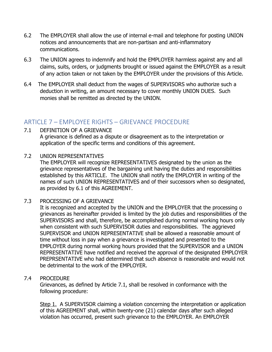- 6.2 The EMPLOYER shall allow the use of internal e-mail and telephone for posting UNION notices and announcements that are non-partisan and anti-inflammatory communications.
- 6.3 The UNION agrees to indemnify and hold the EMPLOYER harmless against any and all claims, suits, orders, or judgments brought or issued against the EMPLOYER as a result of any action taken or not taken by the EMPLOYER under the provisions of this Article.
- 6.4 The EMPLOYER shall deduct from the wages of SUPERVISORS who authorize such a deduction in writing, an amount necessary to cover monthly UNION DUES. Such monies shall be remitted as directed by the UNION.

#### <span id="page-5-0"></span>ARTICLE 7 – EMPLOYEE RIGHTS – GRIEVANCE PROCEDURE

#### 7.1 DEFINITION OF A GRIEVANCE

A grievance is defined as a dispute or disagreement as to the interpretation or application of the specific terms and conditions of this agreement.

#### 7.2 UNION REPRESENTATIVES

The EMPLOYER will recognize REPRESENTATIVES designated by the union as the grievance representatives of the bargaining unit having the duties and responsibilities established by this ARTICLE. The UNION shall notify the EMPLOYER in writing of the names of such UNION REPRESENTATIVES and of their successors when so designated, as provided by 6.1 of this AGREEMENT.

#### 7.3 PROCESSING OF A GRIEVANCE

It is recognized and accepted by the UNION and the EMPLOYER that the processing o grievances as hereinafter provided is limited by the job duties and responsibilities of the SUPERVISORS and shall, therefore, be accomplished during normal working hours only when consistent with such SUPERVISOR duties and responsibilities. The aggrieved SUPERVISOR and UNION REPRESENTATIVE shall be allowed a reasonable amount of time without loss in pay when a grievance is investigated and presented to the EMPLOYER during normal working hours provided that the SUPERVISOR and a UNION REPRESENTATIVE have notified and received the approval of the designated EMPLOYER PREPRSENTATIVE who had determined that such absence is reasonable and would not be detrimental to the work of the EMPLOYER.

#### 7.4 PROCEDURE

Grievances, as defined by Article 7.1, shall be resolved in conformance with the following procedure:

Step 1. A SUPERVISOR claiming a violation concerning the interpretation or application of this AGREEMENT shall, within twenty-one (21) calendar days after such alleged violation has occurred, present such grievance to the EMPLOYER. An EMPLOYER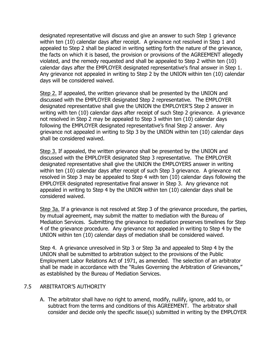designated representative will discuss and give an answer to such Step 1 grievance within ten (10) calendar days after receipt. A grievance not resolved in Step 1 and appealed to Step 2 shall be placed in writing setting forth the nature of the grievance, the facts on which it is based, the provision or provisions of the AGREEMENT allegedly violated, and the remedy requested and shall be appealed to Step 2 within ten (10) calendar days after the EMPLOYER designated representative's final answer in Step 1. Any grievance not appealed in writing to Step 2 by the UNION within ten (10) calendar days will be considered waived.

Step 2. If appealed, the written grievance shall be presented by the UNION and discussed with the EMPLOYER designated Step 2 representative. The EMPLOYER designated representative shall give the UNION the EMPLOYER'S Step 2 answer in writing with ten (10) calendar days after receipt of such Step 2 grievance. A grievance not resolved in Step 2 may be appealed to Step 3 within ten (10) calendar days following the EMPLOYER designated representative's final Step 2 answer. Any grievance not appealed in writing to Stp 3 by the UNION within ten (10) calendar days shall be considered waived.

Step 3. If appealed, the written grievance shall be presented by the UNION and discussed with the EMPLOYER designated Step 3 representative. The EMPLOYER designated representative shall give the UNION the EMPLOYERS answer in writing within ten (10) calendar days after receipt of such Step 3 grievance. A grievance not resolved in Step 3 may be appealed to Step 4 with ten (10) calendar days following the EMPLOYER designated representative final answer in Step 3. Any grievance not appealed in writing to Step 4 by the UNION within ten (10) calendar days shall be considered waived.

Step 3a. If a grievance is not resolved at Step 3 of the grievance procedure, the parties, by mutual agreement, may submit the matter to mediation with the Bureau of Mediation Services. Submitting the grievance to mediation preserves timelines for Step 4 of the grievance procedure. Any grievance not appealed in writing to Step 4 by the UNION within ten (10) calendar days of mediation shall be considered waived.

Step 4. A grievance unresolved in Stp 3 or Step 3a and appealed to Step 4 by the UNION shall be submitted to arbitration subject to the provisions of the Public Employment Labor Relations Act of 1971, as amended. The selection of an arbitrator shall be made in accordance with the "Rules Governing the Arbitration of Grievances," as established by the Bureau of Mediation Services.

#### 7.5 ARBITRATOR'S AUTHORITY

A. The arbitrator shall have no right to amend, modify, nullify, ignore, add to, or subtract from the terms and conditions of this AGREEMENT. The arbitrator shall consider and decide only the specific issue(s) submitted in writing by the EMPLOYER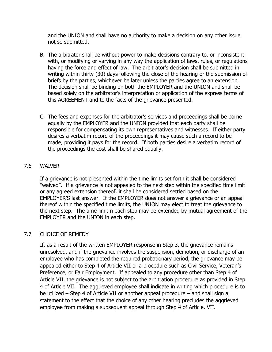and the UNION and shall have no authority to make a decision on any other issue not so submitted.

- B. The arbitrator shall be without power to make decisions contrary to, or inconsistent with, or modifying or varying in any way the application of laws, rules, or regulations having the force and effect of law. The arbitrator's decision shall be submitted in writing within thirty (30) days following the close of the hearing or the submission of briefs by the parties, whichever be later unless the parties agree to an extension. The decision shall be binding on both the EMPLOYER and the UNION and shall be based solely on the arbitrator's interpretation or application of the express terms of this AGREEMENT and to the facts of the grievance presented.
- C. The fees and expenses for the arbitrator's services and proceedings shall be borne equally by the EMPLOYER and the UNION provided that each party shall be responsible for compensating its own representatives and witnesses. If either party desires a verbatim record of the proceedings it may cause such a record to be made, providing it pays for the record. If both parties desire a verbatim record of the proceedings the cost shall be shared equally.

#### 7.6 WAIVER

If a grievance is not presented within the time limits set forth it shall be considered "waived". If a grievance is not appealed to the next step within the specified time limit or any agreed extension thereof, it shall be considered settled based on the EMPLOYER'S last answer. If the EMPLOYER does not answer a grievance or an appeal thereof within the specified time limits, the UNION may elect to treat the grievance to the next step. The time limit n each step may be extended by mutual agreement of the EMPLOYER and the UNION in each step.

#### 7.7 CHOICE OF REMEDY

If, as a result of the written EMPLOYER response in Step 3, the grievance remains unresolved, and if the grievance involves the suspension, demotion, or discharge of an employee who has completed the required probationary period, the grievance may be appealed either to Step 4 of Article VII or a procedure such as Civil Service, Veteran's Preference, or Fair Employment. If appealed to any procedure other than Step 4 of Article VII, the grievance is not subject to the arbitration procedure as provided in Step 4 of Article VII. The aggrieved employee shall indicate in writing which procedure is to be utilized – Step 4 of Article VII or another appeal procedure – and shall sign a statement to the effect that the choice of any other hearing precludes the aggrieved employee from making a subsequent appeal through Step 4 of Article. VII.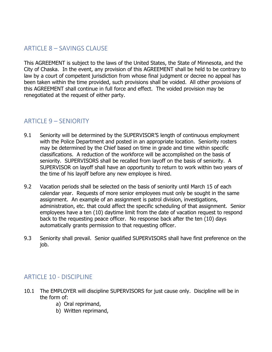## <span id="page-8-0"></span>ARTICLE 8 – SAVINGS CLAUSE

This AGREEMENT is subject to the laws of the United States, the State of Minnesota, and the City of Chaska. In the event, any provision of this AGREEMENT shall be held to be contrary to law by a court of competent jurisdiction from whose final judgment or decree no appeal has been taken within the time provided, such provisions shall be voided. All other provisions of this AGREEMENT shall continue in full force and effect. The voided provision may be renegotiated at the request of either party.

#### <span id="page-8-1"></span>ARTICLE 9 – SENIORITY

- 9.1 Seniority will be determined by the SUPERVISOR'S length of continuous employment with the Police Department and posted in an appropriate location. Seniority rosters may be determined by the Chief based on time in grade and time within specific classifications. A reduction of the workforce will be accomplished on the basis of seniority. SUPERVISORS shall be recalled from layoff on the basis of seniority. A SUPERVISOR on layoff shall have an opportunity to return to work within two years of the time of his layoff before any new employee is hired.
- 9.2 Vacation periods shall be selected on the basis of seniority until March 15 of each calendar year. Requests of more senior employees must only be sought in the same assignment. An example of an assignment is patrol division, investigations, administration, etc. that could affect the specific scheduling of that assignment. Senior employees have a ten (10) daytime limit from the date of vacation request to respond back to the requesting peace officer. No response back after the ten (10) days automatically grants permission to that requesting officer.
- 9.3 Seniority shall prevail. Senior qualified SUPERVISORS shall have first preference on the job.

#### <span id="page-8-2"></span>ARTICLE 10 - DISCIPLINE

- 10.1 The EMPLOYER will discipline SUPERVISORS for just cause only. Discipline will be in the form of:
	- a) Oral reprimand,
	- b) Written reprimand,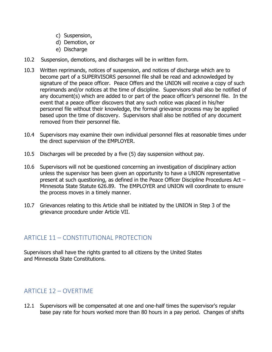- c) Suspension,
- d) Demotion, or
- e) Discharge
- 10.2 Suspension, demotions, and discharges will be in written form.
- 10.3 Written reprimands, notices of suspension, and notices of discharge which are to become part of a SUPERVISORS personnel file shall be read and acknowledged by signature of the peace officer. Peace Offers and the UNION will receive a copy of such reprimands and/or notices at the time of discipline. Supervisors shall also be notified of any document(s) which are added to or part of the peace officer's personnel file. In the event that a peace officer discovers that any such notice was placed in his/her personnel file without their knowledge, the formal grievance process may be applied based upon the time of discovery. Supervisors shall also be notified of any document removed from their personnel file.
- 10.4 Supervisors may examine their own individual personnel files at reasonable times under the direct supervision of the EMPLOYER.
- 10.5 Discharges will be preceded by a five (5) day suspension without pay.
- 10.6 Supervisors will not be questioned concerning an investigation of disciplinary action unless the supervisor has been given an opportunity to have a UNION representative present at such questioning, as defined in the Peace Officer Discipline Procedures Act – Minnesota State Statute 626.89. The EMPLOYER and UNION will coordinate to ensure the process moves in a timely manner.
- 10.7 Grievances relating to this Article shall be initiated by the UNION in Step 3 of the grievance procedure under Article VII.

## <span id="page-9-0"></span>ARTICLE 11 – CONSTITUTIONAL PROTECTION

Supervisors shall have the rights granted to all citizens by the United States and Minnesota State Constitutions.

## <span id="page-9-1"></span>ARTICLE 12 – OVERTIME

12.1 Supervisors will be compensated at one and one-half times the supervisor's regular base pay rate for hours worked more than 80 hours in a pay period. Changes of shifts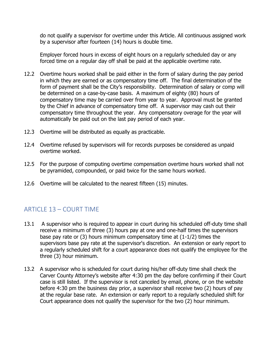do not qualify a supervisor for overtime under this Article. All continuous assigned work by a supervisor after fourteen (14) hours is double time.

Employer forced hours in excess of eight hours on a regularly scheduled day or any forced time on a regular day off shall be paid at the applicable overtime rate.

- 12.2 Overtime hours worked shall be paid either in the form of salary during the pay period in which they are earned or as compensatory time off. The final determination of the form of payment shall be the City's responsibility. Determination of salary or comp will be determined on a case-by-case basis. A maximum of eighty (80) hours of compensatory time may be carried over from year to year. Approval must be granted by the Chief in advance of compensatory time off. A supervisor may cash out their compensatory time throughout the year. Any compensatory overage for the year will automatically be paid out on the last pay period of each year.
- 12.3 Overtime will be distributed as equally as practicable.
- 12.4 Overtime refused by supervisors will for records purposes be considered as unpaid overtime worked.
- 12.5 For the purpose of computing overtime compensation overtime hours worked shall not be pyramided, compounded, or paid twice for the same hours worked.
- 12.6 Overtime will be calculated to the nearest fifteen (15) minutes.

## <span id="page-10-0"></span>ARTICLE 13 – COURT TIME

- 13.1 A supervisor who is required to appear in court during his scheduled off-duty time shall receive a minimum of three (3) hours pay at one and one-half times the supervisors base pay rate or  $(3)$  hours minimum compensatory time at  $(1-1/2)$  times the supervisors base pay rate at the supervisor's discretion. An extension or early report to a regularly scheduled shift for a court appearance does not qualify the employee for the three (3) hour minimum.
- 13.2 A supervisor who is scheduled for court during his/her off-duty time shall check the Carver County Attorney's website after 4:30 pm the day before confirming if their Court case is still listed. If the supervisor is not canceled by email, phone, or on the website before 4:30 pm the business day prior, a supervisor shall receive two (2) hours of pay at the regular base rate. An extension or early report to a regularly scheduled shift for Court appearance does not qualify the supervisor for the two (2) hour minimum.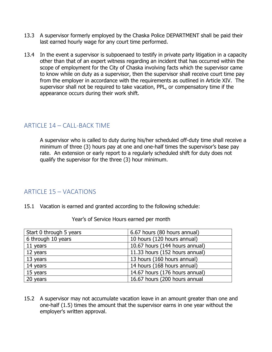- 13.3 A supervisor formerly employed by the Chaska Police DEPARTMENT shall be paid their last earned hourly wage for any court time performed.
- 13.4 In the event a supervisor is subpoenaed to testify in private party litigation in a capacity other than that of an expert witness regarding an incident that has occurred within the scope of employment for the City of Chaska involving facts which the supervisor came to know while on duty as a supervisor, then the supervisor shall receive court time pay from the employer in accordance with the requirements as outlined in Article XIV. The supervisor shall not be required to take vacation, PPL, or compensatory time if the appearance occurs during their work shift.

#### <span id="page-11-0"></span>ARTICLE 14 – CALL-BACK TIME

A supervisor who is called to duty during his/her scheduled off-duty time shall receive a minimum of three (3) hours pay at one and one-half times the supervisor's base pay rate. An extension or early report to a regularly scheduled shift for duty does not qualify the supervisor for the three (3) hour minimum.

#### <span id="page-11-1"></span>ARTICLE 15 – VACATIONS

15.1 Vacation is earned and granted according to the following schedule:

| Start 0 through 5 years | 6.67 hours (80 hours annual)   |
|-------------------------|--------------------------------|
| 6 through 10 years      | 10 hours (120 hours annual)    |
| 11 years                | 10.67 hours (144 hours annual) |
| 12 years                | 11.33 hours (152 hours annual) |
| 13 years                | 13 hours (160 hours annual)    |
| 14 years                | 14 hours (168 hours annual)    |
| 15 years                | 14.67 hours (176 hours annual) |
| 20 years                | 16.67 hours (200 hours annual  |

Year's of Service Hours earned per month

15.2 A supervisor may not accumulate vacation leave in an amount greater than one and one-half (1.5) times the amount that the supervisor earns in one year without the employer's written approval.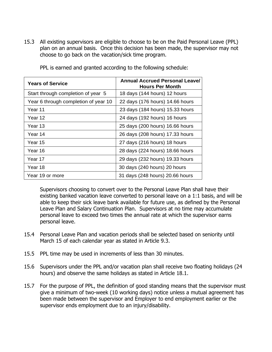15.3 All existing supervisors are eligible to choose to be on the Paid Personal Leave (PPL) plan on an annual basis. Once this decision has been made, the supervisor may not choose to go back on the vacation/sick time program.

| <b>Years of Service</b>              | <b>Annual Accrued Personal Leave/</b><br><b>Hours Per Month</b> |
|--------------------------------------|-----------------------------------------------------------------|
| Start through completion of year 5   | 18 days (144 hours) 12 hours                                    |
| Year 6 through completion of year 10 | 22 days (176 hours) 14.66 hours                                 |
| Year 11                              | 23 days (184 hours) 15.33 hours                                 |
| Year 12                              | 24 days (192 hours) 16 hours                                    |
| Year 13                              | 25 days (200 hours) 16.66 hours                                 |
| Year 14                              | 26 days (208 hours) 17.33 hours                                 |
| Year 15                              | 27 days (216 hours) 18 hours                                    |
| Year 16                              | 28 days (224 hours) 18.66 hours                                 |
| Year 17                              | 29 days (232 hours) 19.33 hours                                 |
| Year 18                              | 30 days (240 hours) 20 hours                                    |
| Year 19 or more                      | 31 days (248 hours) 20.66 hours                                 |

PPL is earned and granted according to the following schedule:

Supervisors choosing to convert over to the Personal Leave Plan shall have their existing banked vacation leave converted to personal leave on a 1:1 basis, and will be able to keep their sick leave bank available for future use, as defined by the Personal Leave Plan and Salary Continuation Plan. Supervisors at no time may accumulate personal leave to exceed two times the annual rate at which the supervisor earns personal leave.

- 15.4 Personal Leave Plan and vacation periods shall be selected based on seniority until March 15 of each calendar year as stated in Article 9.3.
- 15.5 PPL time may be used in increments of less than 30 minutes.
- 15.6 Supervisors under the PPL and/or vacation plan shall receive two floating holidays (24 hours) and observe the same holidays as stated in Article 18.1.
- 15.7 For the purpose of PPL, the definition of good standing means that the supervisor must give a minimum of two-week (10 working days) notice unless a mutual agreement has been made between the supervisor and Employer to end employment earlier or the supervisor ends employment due to an injury/disability.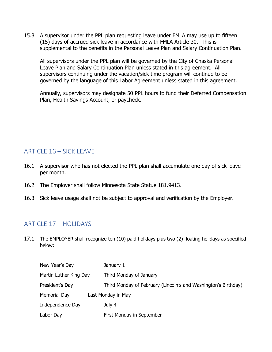15.8 A supervisor under the PPL plan requesting leave under FMLA may use up to fifteen (15) days of accrued sick leave in accordance with FMLA Article 30. This is supplemental to the benefits in the Personal Leave Plan and Salary Continuation Plan.

All supervisors under the PPL plan will be governed by the City of Chaska Personal Leave Plan and Salary Continuation Plan unless stated in this agreement. All supervisors continuing under the vacation/sick time program will continue to be governed by the language of this Labor Agreement unless stated in this agreement.

Annually, supervisors may designate 50 PPL hours to fund their Deferred Compensation Plan, Health Savings Account, or paycheck.

## <span id="page-13-0"></span>ARTICLE 16 – SICK LEAVE

- 16.1 A supervisor who has not elected the PPL plan shall accumulate one day of sick leave per month.
- 16.2 The Employer shall follow Minnesota State Statue 181.9413.
- 16.3 Sick leave usage shall not be subject to approval and verification by the Employer.

## <span id="page-13-1"></span>ARTICLE 17 – HOLIDAYS

17.1 The EMPLOYER shall recognize ten (10) paid holidays plus two (2) floating holidays as specified below:

| New Year's Day         | January 1                                                      |
|------------------------|----------------------------------------------------------------|
| Martin Luther King Day | Third Monday of January                                        |
| President's Day        | Third Monday of February (Lincoln's and Washington's Birthday) |
| Memorial Day           | Last Monday in May                                             |
| Independence Day       | July 4                                                         |
| Labor Day              | First Monday in September                                      |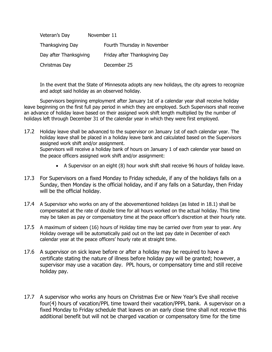| Veteran's Day          | November 11                   |
|------------------------|-------------------------------|
| Thanksgiving Day       | Fourth Thursday in November   |
| Day after Thanksgiving | Friday after Thanksgiving Day |
| Christmas Day          | December 25                   |

In the event that the State of Minnesota adopts any new holidays, the city agrees to recognize and adopt said holiday as an observed holiday.

Supervisors beginning employment after January 1st of a calendar year shall receive holiday leave beginning on the first full pay period in which they are employed. Such Supervisors shall receive an advance of holiday leave based on their assigned work shift length multiplied by the number of holidays left through December 31 of the calendar year in which they were first employed.

- 17.2 Holiday leave shall be advanced to the supervisor on January 1st of each calendar year. The holiday leave shall be placed in a holiday leave bank and calculated based on the Supervisors assigned work shift and/or assignment. Supervisors will receive a holiday bank of hours on January 1 of each calendar year based on the peace officers assigned work shift and/or assignment:
	- A Supervisor on an eight (8) hour work shift shall receive 96 hours of holiday leave.
- 17.3 For Supervisors on a fixed Monday to Friday schedule, if any of the holidays falls on a Sunday, then Monday is the official holiday, and if any falls on a Saturday, then Friday will be the official holiday.
- 17.4 A Supervisor who works on any of the abovementioned holidays (as listed in 18.1) shall be compensated at the rate of double time for all hours worked on the actual holiday. This time may be taken as pay or compensatory time at the peace officer's discretion at their hourly rate.
- 17.5 A maximum of sixteen (16) hours of Holiday time may be carried over from year to year. Any Holiday overage will be automatically paid out on the last pay date in December of each calendar year at the peace officers' hourly rate at straight time.
- 17.6 A supervisor on sick leave before or after a holiday may be required to have a certificate stating the nature of illness before holiday pay will be granted; however, a supervisor may use a vacation day. PPL hours, or compensatory time and still receive holiday pay.
- 17.7 A supervisor who works any hours on Christmas Eve or New Year's Eve shall receive four(4) hours of vacation/PPL time toward their vacation/PPPL bank. A supervisor on a fixed Monday to Friday schedule that leaves on an early close time shall not receive this additional benefit but will not be charged vacation or compensatory time for the time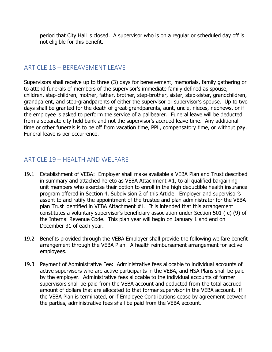period that City Hall is closed. A supervisor who is on a regular or scheduled day off is not eligible for this benefit.

## <span id="page-15-0"></span>ARTICLE 18 – BEREAVEMENT LEAVE

Supervisors shall receive up to three (3) days for bereavement, memorials, family gathering or to attend funerals of members of the supervisor's immediate family defined as spouse, children, step-children, mother, father, brother, step-brother, sister, step-sister, grandchildren, grandparent, and step-grandparents of either the supervisor or supervisor's spouse. Up to two days shall be granted for the death of great-grandparents, aunt, uncle, nieces, nephews, or if the employee is asked to perform the service of a pallbearer. Funeral leave will be deducted from a separate city-held bank and not the supervisor's accrued leave time. Any additional time or other funerals is to be off from vacation time, PPL, compensatory time, or without pay. Funeral leave is per occurrence.

## <span id="page-15-1"></span>ARTICLE 19 – HEALTH AND WELFARE

- 19.1 Establishment of VEBA: Employer shall make available a VEBA Plan and Trust described in summary and attached hereto as VEBA Attachment #1, to all qualified bargaining unit members who exercise their option to enroll in the high deductible health insurance program offered in Section 4, Subdivision 2 of this Article. Employer and supervisor's assent to and ratify the appointment of the trustee and plan administrator for the VEBA plan Trust identified in VEBA Attachment #1. It is intended that this arrangement constitutes a voluntary supervisor's beneficiary association under Section 501 ( c) (9) of the Internal Revenue Code. This plan year will begin on January 1 and end on December 31 of each year.
- 19.2 Benefits provided through the VEBA Employer shall provide the following welfare benefit arrangement through the VEBA Plan. A health reimbursement arrangement for active employees.
- 19.3 Payment of Administrative Fee: Administrative fees allocable to individual accounts of active supervisors who are active participants in the VEBA, and HSA Plans shall be paid by the employer. Administrative fees allocable to the individual accounts of former supervisors shall be paid from the VEBA account and deducted from the total accrued amount of dollars that are allocated to that former supervisor in the VEBA account. If the VEBA Plan is terminated, or if Employee Contributions cease by agreement between the parties, administrative fees shall be paid from the VEBA account.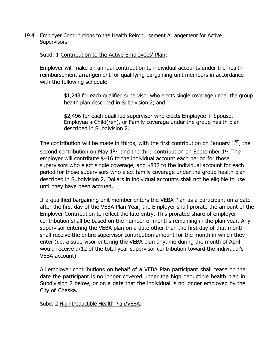19.4 Employer Contributions to the Health Reimbursement Arrangement for Active Supervisors:

#### Subd. 1 Contribution to the Active Employees' Plan:

Employer will make an annual contribution to individual accounts under the health reimbursement arrangement for qualifying bargaining unit members in accordance with the following schedule:

> \$1,248 for each qualified supervisor who elects single coverage under the group health plan described in Subdivision 2; and

\$2,496 for each qualified supervisor who elects Employee + Spouse, Employee +Child(ren), or Family coverage under the group health plan described in Subdivision 2.

The contribution will be made in thirds, with the first contribution on January 1st, the second contribution on May  $1<sup>st</sup>$ , and the third contribution on September  $1<sup>st</sup>$ . The employer will contribute \$416 to the individual account each period for those supervisors who elect single coverage, and \$832 to the individual account for each period for those supervisors who elect family coverage under the group health plan described in Subdivision 2. Dollars in individual accounts shall not be eligible to use until they have been accrued.

If a qualified bargaining unit member enters the VEBA Plan as a participant on a date after the first day of the VEBA Plan Year, the Employer shall prorate the amount of the Employer Contribution to reflect the late entry. This prorated share of employer contribution shall be based on the number of months remaining in the plan year. Any supervisor entering the VEBA plan on a date other than the first day of that month shall receive the entire supervisor contribution amount for the month in which they enter (i.e. a supervisor entering the VEBA plan anytime during the month of April would receive 9/12 of the total year supervisor contribution toward the individual's VEBA account).

All employer contributions on behalf of a VEBA Plan participant shall cease on the date the participant is no longer covered under the high deductible health plan in Subdivision 2 below, or on a date that the individual is no longer employed by the City of Chaska.

Subd. 2 High Deductible Health Plan/VEBA: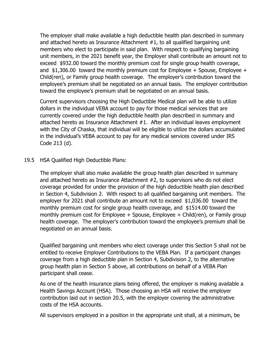The employer shall make available a high deductible health plan described in summary and attached hereto as Insurance Attachment #1, to all qualified bargaining unit members who elect to participate in said plan. With respect to qualifying bargaining unit members, in the 2021 benefit year, the Employer shall contribute an amount not to exceed \$932.00 toward the monthly premium cost for single group health coverage, and \$1,306.00 toward the monthly premium cost for Employee + Spouse, Employee + Child(ren), or Family group health coverage. The employer's contribution toward the employee's premium shall be negotiated on an annual basis. The employer contribution toward the employee's premium shall be negotiated on an annual basis.

Current supervisors choosing the High Deductible Medical plan will be able to utilize dollars in the individual VEBA account to pay for those medical services that are currently covered under the high deductible health plan described in summary and attached hereto as Insurance Attachment #1. After an individual leaves employment with the City of Chaska, that individual will be eligible to utilize the dollars accumulated in the individual's VEBA account to pay for any medical services covered under IRS Code 213 (d).

#### 19.5 HSA Qualified High Deductible Plans:

The employer shall also make available the group health plan described in summary and attached hereto as Insurance Attachment #2, to supervisors who do not elect coverage provided for under the provision of the high deductible health plan described in Section 4, Subdivision 2. With respect to all qualified bargaining unit members. The employer for 2021 shall contribute an amount not to exceed \$1,036.00 toward the monthly premium cost for single group health coverage, and \$1514.00 toward the monthly premium cost for Employee + Spouse, Employee + Child(ren), or Family group health coverage. The employer's contribution toward the employee's premium shall be negotiated on an annual basis.

Qualified bargaining unit members who elect coverage under this Section 5 shall not be entitled to receive Employer Contributions to the VEBA Plan. If a participant changes coverage from a high deductible plan in Section 4, Subdivision 2, to the alternative group health plan in Section 5 above, all contributions on behalf of a VEBA Plan participant shall cease.

As one of the health insurance plans being offered, the employer is making available a Health Savings Account (HSA). Those choosing an HSA will receive the employer contribution laid out in section 20.5, with the employer covering the administrative costs of the HSA accounts.

All supervisors employed in a position in the appropriate unit shall, at a minimum, be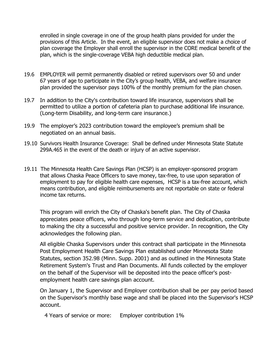enrolled in single coverage in one of the group health plans provided for under the provisions of this Article. In the event, an eligible supervisor does not make a choice of plan coverage the Employer shall enroll the supervisor in the CORE medical benefit of the plan, which is the single-coverage VEBA high deductible medical plan.

- 19.6 EMPLOYER will permit permanently disabled or retired supervisors over 50 and under 67 years of age to participate in the City's group health, VEBA, and welfare insurance plan provided the supervisor pays 100% of the monthly premium for the plan chosen.
- 19.7 In addition to the City's contribution toward life insurance, supervisors shall be permitted to utilize a portion of cafeteria plan to purchase additional life insurance. (Long-term Disability, and long-term care insurance.)
- 19.9 The employer's 2023 contribution toward the employee's premium shall be negotiated on an annual basis.
- 19.10 Survivors Health Insurance Coverage: Shall be defined under Minnesota State Statute 299A.465 in the event of the death or injury of an active supervisor.
- 19.11 The Minnesota Health Care Savings Plan (HCSP) is an employer-sponsored program that allows Chaska Peace Officers to save money, tax-free, to use upon separation of employment to pay for eligible health care expenses, HCSP is a tax-free account, which means contribution, and eligible reimbursements are not reportable on state or federal income tax returns.

This program will enrich the City of Chaska's benefit plan. The City of Chaska appreciates peace officers, who through long-term service and dedication, contribute to making the city a successful and positive service provider. In recognition, the City acknowledges the following plan.

All eligible Chaska Supervisors under this contract shall participate in the Minnesota Post Employment Health Care Savings Plan established under Minnesota State Statutes, section 352.98 (Minn. Supp. 2001) and as outlined in the Minnesota State Retirement System's Trust and Plan Documents. All funds collected by the employer on the behalf of the Supervisor will be deposited into the peace officer's postemployment health care savings plan account.

On January 1, the Supervisor and Employer contribution shall be per pay period based on the Supervisor's monthly base wage and shall be placed into the Supervisor's HCSP account.

4 Years of service or more: Employer contribution 1%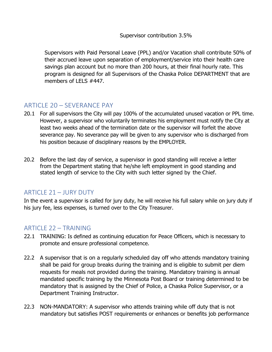Supervisors with Paid Personal Leave (PPL) and/or Vacation shall contribute 50% of their accrued leave upon separation of employment/service into their health care savings plan account but no more than 200 hours, at their final hourly rate. This program is designed for all Supervisors of the Chaska Police DEPARTMENT that are members of LELS #447.

## <span id="page-19-0"></span>ARTICLE 20 – SEVERANCE PAY

- 20.1 For all supervisors the City will pay 100% of the accumulated unused vacation or PPL time. However, a supervisor who voluntarily terminates his employment must notify the City at least two weeks ahead of the termination date or the supervisor will forfeit the above severance pay. No severance pay will be given to any supervisor who is discharged from his position because of disciplinary reasons by the EMPLOYER.
- 20.2 Before the last day of service, a supervisor in good standing will receive a letter from the Department stating that he/she left employment in good standing and stated length of service to the City with such letter signed by the Chief.

## <span id="page-19-1"></span>ARTICLE 21 - JURY DUTY

In the event a supervisor is called for jury duty, he will receive his full salary while on jury duty if his jury fee, less expenses, is turned over to the City Treasurer.

#### <span id="page-19-2"></span>ARTICLE 22 - TRAINING

- 22.1 TRAINING: Is defined as continuing education for Peace Officers, which is necessary to promote and ensure professional competence.
- 22.2 A supervisor that is on a regularly scheduled day off who attends mandatory training shall be paid for group breaks during the training and is eligible to submit per diem requests for meals not provided during the training. Mandatory training is annual mandated specific training by the Minnesota Post Board or training determined to be mandatory that is assigned by the Chief of Police, a Chaska Police Supervisor, or a Department Training Instructor.
- 22.3 NON-MANDATORY: A supervisor who attends training while off duty that is not mandatory but satisfies POST requirements or enhances or benefits job performance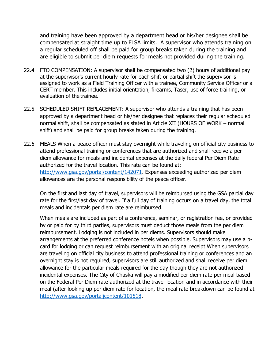and training have been approved by a department head or his/her designee shall be compensated at straight time up to FLSA limits. A supervisor who attends training on a regular scheduled off shall be paid for group breaks taken during the training and are eligible to submit per diem requests for meals not provided during the training.

- 22.4 FTO COMPENSATION: A supervisor shall be compensated two (2) hours of additional pay at the supervisor's current hourly rate for each shift or partial shift the supervisor is assigned to work as a Field Training Officer with a trainee, Community Service Officer or a CERT member. This includes initial orientation, firearms, Taser, use of force training, or evaluation of the trainee.
- 22.5 SCHEDULED SHIFT REPLACEMENT: A supervisor who attends a training that has been approved by a department head or his/her designee that replaces their regular scheduled normal shift, shall be compensated as stated in Article XII (HOURS OF WORK – normal shift) and shall be paid for group breaks taken during the training.
- 22.6 MEALS When a peace officer must stay overnight while traveling on official city business to attend professional training or conferences that are authorized and shall receive a per diem allowance for meals and incidental expenses at the daily federal Per Diem Rate authorized for the travel location. This rate can be found at: [http://www.gsa.gov/portal/content/142071.](http://www.gsa.gov/portal/content/142071) Expenses exceeding authorized per diem allowances are the personal responsibility of the peace officer.

On the first and last day of travel, supervisors will be reimbursed using the GSA partial day rate for the first/last day of travel. If a full day of training occurs on a travel day, the total meals and incidentals per diem rate are reimbursed.

When meals are included as part of a conference, seminar, or registration fee, or provided by or paid for by third parties, supervisors must deduct those meals from the per diem reimbursement. Lodging is not included in per diems. Supervisors should make arrangements at the preferred conference hotels when possible. Supervisors may use a pcard for lodging or can request reimbursement with an original receipt.When supervisors are traveling on official city business to attend professional training or conferences and an overnight stay is not required, supervisors are still authorized and shall receive per diem allowance for the particular meals required for the day though they are not authorized incidental expenses. The City of Chaska will pay a modified per diem rate per meal based on the Federal Per Diem rate authorized at the travel location and in accordance with their meal (after looking up per diem rate for location, the meal rate breakdown can be found at [http://www.gsa.gov/portaljcontent/101518.](http://www.gsa.gov/portaljcontent/101518)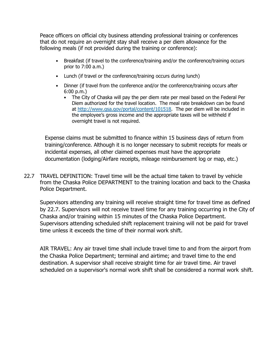Peace officers on official city business attending professional training or conferences that do not require an overnight stay shall receive a per diem allowance for the following meals (if not provided during the training or conference):

- Breakfast (if travel to the conference/training and/or the conference/training occurs prior to 7:00 a.m.)
- Lunch (if travel or the conference/training occurs during lunch)
- Dinner (if travel from the conference and/or the conference/training occurs after 6:00 p.m.)
	- The City of Chaska will pay the per diem rate per meal based on the Federal Per Diem authorized for the travel location. The meal rate breakdown can be found at [http://www.gsa.gov/portal/content/101518.](http://www.gsa.gov/portal/content/101518) The per diem will be included in the employee's gross income and the appropriate taxes will be withheld if overnight travel is not required.

Expense claims must be submitted to finance within 15 business days of return from training/conference. Although it is no longer necessary to submit receipts for meals or incidental expenses, all other claimed expenses must have the appropriate documentation (lodging/Airfare receipts, mileage reimbursement log or map, etc.)

22.7 TRAVEL DEFINITION: Travel time will be the actual time taken to travel by vehicle from the Chaska Police DEPARTMENT to the training location and back to the Chaska Police Department.

Supervisors attending any training will receive straight time for travel time as defined by 22.7. Supervisors will not receive travel time for any training occurring in the City of Chaska and/or training within 15 minutes of the Chaska Police Department. Supervisors attending scheduled shift replacement training will not be paid for travel time unless it exceeds the time of their normal work shift.

AIR TRAVEL: Any air travel time shall include travel time to and from the airport from the Chaska Police Department; terminal and airtime; and travel time to the end destination. A supervisor shall receive straight time for air travel time. Air travel scheduled on a supervisor's normal work shift shall be considered a normal work shift.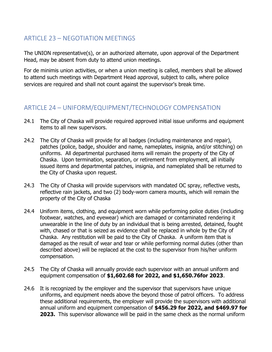## <span id="page-22-0"></span>ARTICLE 23 – NEGOTIATION MEETINGS

The UNION representative(s), or an authorized alternate, upon approval of the Department Head, may be absent from duty to attend union meetings.

For de minimis union activities, or when a union meeting is called, members shall be allowed to attend such meetings with Department Head approval, subject to calls, where police services are required and shall not count against the supervisor's break time.

## <span id="page-22-1"></span>ARTICLE 24 – UNIFORM/EQUIPMENT/TECHNOLOGY COMPENSATION

- 24.1 The City of Chaska will provide required approved initial issue uniforms and equipment items to all new supervisors.
- 24.2 The City of Chaska will provide for all badges (including maintenance and repair), patches (police, badge, shoulder and name, nameplates, insignia, and/or stitching) on uniforms. All departmental purchased items will remain the property of the City of Chaska. Upon termination, separation, or retirement from employment, all initially issued items and departmental patches, insignia, and nameplated shall be returned to the City of Chaska upon request.
- 24.3 The City of Chaska will provide supervisors with mandated OC spray, reflective vests, reflective rain jackets, and two (2) body-worn camera mounts, which will remain the property of the City of Chaska
- 24.4 Uniform items, clothing, and equipment worn while performing police duties (including footwear, watches, and eyewear) which are damaged or contaminated rendering it unwearable in the line of duty by an individual that is being arrested, detained, fought with, chased or that is seized as evidence shall be replaced in whole by the City of Chaska. Any restitution will be paid to the City of Chaska. A uniform item that is damaged as the result of wear and tear or while performing normal duties (other than described above) will be replaced at the cost to the supervisor from his/her uniform compensation.
- 24.5 The City of Chaska will annually provide each supervisor with an annual uniform and equipment compensation of **\$1,602.68 for 2022, and \$1,650.76for 2023**.
- 24.6 It is recognized by the employer and the supervisor that supervisors have unique uniforms, and equipment needs above the beyond those of patrol officers. To address these additional requirements, the employer will provide the supervisors with additional annual uniform and equipment compensation of **\$456.29 for 2022, and \$469.97 for 2023.** This supervisor allowance will be paid in the same check as the normal uniform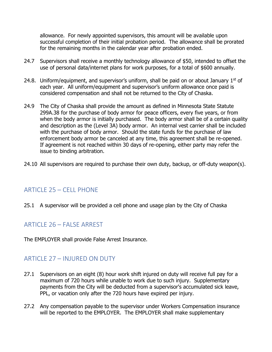allowance. For newly appointed supervisors, this amount will be available upon successful completion of their initial probation period. The allowance shall be prorated for the remaining months in the calendar year after probation ended.

- 24.7 Supervisors shall receive a monthly technology allowance of \$50, intended to offset the use of personal data/internet plans for work purposes, for a total of \$600 annually.
- 24.8. Uniform/equipment, and supervisor's uniform, shall be paid on or about January  $1<sup>st</sup>$  of each year. All uniform/equipment and supervisor's uniform allowance once paid is considered compensation and shall not be returned to the City of Chaska.
- 24.9 The City of Chaska shall provide the amount as defined in Minnesota State Statute 299A.38 for the purchase of body armor for peace officers, every five years, or from when the body armor is initially purchased. The body armor shall be of a certain quality and description as the (Level 3A) body armor. An internal vest carrier shall be included with the purchase of body armor. Should the state funds for the purchase of law enforcement body armor be canceled at any time, this agreement shall be re-opened. If agreement is not reached within 30 days of re-opening, either party may refer the issue to binding arbitration.
- 24.10 All supervisors are required to purchase their own duty, backup, or off-duty weapon(s).

## <span id="page-23-0"></span>ARTICLE 25 – CELL PHONE

25.1 A supervisor will be provided a cell phone and usage plan by the City of Chaska

#### <span id="page-23-1"></span>ARTICLE 26 – FALSE ARREST

The EMPLOYER shall provide False Arrest Insurance.

#### <span id="page-23-2"></span>ARTICLE 27 – INJURED ON DUTY

- 27.1 Supervisors on an eight (8) hour work shift injured on duty will receive full pay for a maximum of 720 hours while unable to work due to such injury. Supplementary payments from the City will be deducted from a supervisor's accumulated sick leave, PPL, or vacation only after the 720 hours have expired per injury.
- 27.2 Any compensation payable to the supervisor under Workers Compensation insurance will be reported to the EMPLOYER. The EMPLOYER shall make supplementary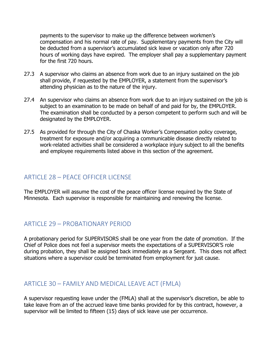payments to the supervisor to make up the difference between workmen's compensation and his normal rate of pay. Supplementary payments from the City will be deducted from a supervisor's accumulated sick leave or vacation only after 720 hours of working days have expired. The employer shall pay a supplementary payment for the first 720 hours.

- 27.3 A supervisor who claims an absence from work due to an injury sustained on the job shall provide, if requested by the EMPLOYER, a statement from the supervisor's attending physician as to the nature of the injury.
- 27.4 An supervisor who claims an absence from work due to an injury sustained on the job is subject to an examination to be made on behalf of and paid for by, the EMPLOYER. The examination shall be conducted by a person competent to perform such and will be designated by the EMPLOYER.
- 27.5 As provided for through the City of Chaska Worker's Compensation policy coverage, treatment for exposure and/or acquiring a communicable disease directly related to work-related activities shall be considered a workplace injury subject to all the benefits and employee requirements listed above in this section of the agreement.

#### <span id="page-24-0"></span>ARTICLE 28 – PEACE OFFICER LICENSE

The EMPLOYER will assume the cost of the peace officer license required by the State of Minnesota. Each supervisor is responsible for maintaining and renewing the license.

## <span id="page-24-1"></span>ARTICLE 29 – PROBATIONARY PERIOD

A probationary period for SUPERVISORS shall be one year from the date of promotion. If the Chief of Police does not feel a supervisor meets the expectations of a SUPERVISOR'S role during probation, they shall be assigned back immediately as a Sergeant. This does not affect situations where a supervisor could be terminated from employment for just cause.

## <span id="page-24-2"></span>ARTICLE 30 – FAMILY AND MEDICAL LEAVE ACT (FMLA)

A supervisor requesting leave under the (FMLA) shall at the supervisor's discretion, be able to take leave from an of the accrued leave time banks provided for by this contract, however, a supervisor will be limited to fifteen (15) days of sick leave use per occurrence.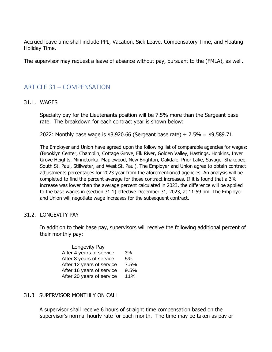Accrued leave time shall include PPL, Vacation, Sick Leave, Compensatory Time, and Floating Holiday Time.

The supervisor may request a leave of absence without pay, pursuant to the (FMLA), as well.

#### <span id="page-25-0"></span>ARTICLE 31 – COMPENSATION

#### 31.1. WAGES

Specialty pay for the Lieutenants position will be 7.5% more than the Sergeant base rate. The breakdown for each contract year is shown below:

2022: Monthly base wage is \$8,920.66 (Sergeant base rate) + 7.5% = \$9,589.71

The Employer and Union have agreed upon the following list of comparable agencies for wages: (Brooklyn Center, Champlin, Cottage Grove, Elk River, Golden Valley, Hastings, Hopkins, Inver Grove Heights, Minnetonka, Maplewood, New Brighton, Oakdale, Prior Lake, Savage, Shakopee, South St. Paul, Stillwater, and West St. Paul). The Employer and Union agree to obtain contract adjustments percentages for 2023 year from the aforementioned agencies. An analysis will be completed to find the percent average for those contract increases. If it is found that a 3% increase was lower than the average percent calculated in 2023, the difference will be applied to the base wages in (section 31.1) effective December 31, 2023, at 11:59 pm. The Employer and Union will negotiate wage increases for the subsequent contract.

#### 31.2. LONGEVITY PAY

In addition to their base pay, supervisors will receive the following additional percent of their monthly pay:

| Longevity Pay             |      |
|---------------------------|------|
| After 4 years of service  | 3%   |
| After 8 years of service  | 5%   |
| After 12 years of service | 7.5% |
| After 16 years of service | 9.5% |
| After 20 years of service | 11%  |

#### 31.3 SUPERVISOR MONTHLY ON CALL

A supervisor shall receive 6 hours of straight time compensation based on the supervisor's normal hourly rate for each month. The time may be taken as pay or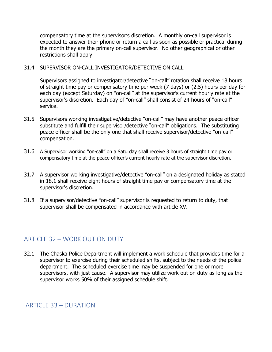compensatory time at the supervisor's discretion. A monthly on-call supervisor is expected to answer their phone or return a call as soon as possible or practical during the month they are the primary on-call supervisor. No other geographical or other restrictions shall apply.

#### 31.4 SUPERVISOR ON-CALL INVESTIGATOR/DETECTIVE ON CALL

Supervisors assigned to investigator/detective "on-call" rotation shall receive 18 hours of straight time pay or compensatory time per week (7 days) or (2.5) hours per day for each day (except Saturday) on "on-call" at the supervisor's current hourly rate at the supervisor's discretion. Each day of "on-call" shall consist of 24 hours of "on-call" service.

- 31.5 Supervisors working investigative/detective "on-call" may have another peace officer substitute and fulfill their supervisor/detective "on-call" obligations. The substituting peace officer shall be the only one that shall receive supervisor/detective "on-call" compensation.
- 31.6 A Supervisor working "on-call" on a Saturday shall receive 3 hours of straight time pay or compensatory time at the peace officer's current hourly rate at the supervisor discretion.
- 31.7 A supervisor working investigative/detective "on-call" on a designated holiday as stated in 18.1 shall receive eight hours of straight time pay or compensatory time at the supervisor's discretion.
- 31.8 If a supervisor/detective "on-call" supervisor is requested to return to duty, that supervisor shall be compensated in accordance with article XV.

## <span id="page-26-0"></span>ARTICLE 32 – WORK OUT ON DUTY

32.1 The Chaska Police Department will implement a work schedule that provides time for a supervisor to exercise during their scheduled shifts, subject to the needs of the police department. The scheduled exercise time may be suspended for one or more supervisors, with just cause. A supervisor may utilize work out on duty as long as the supervisor works 50% of their assigned schedule shift.

#### <span id="page-26-1"></span>ARTICLE 33 - DURATION